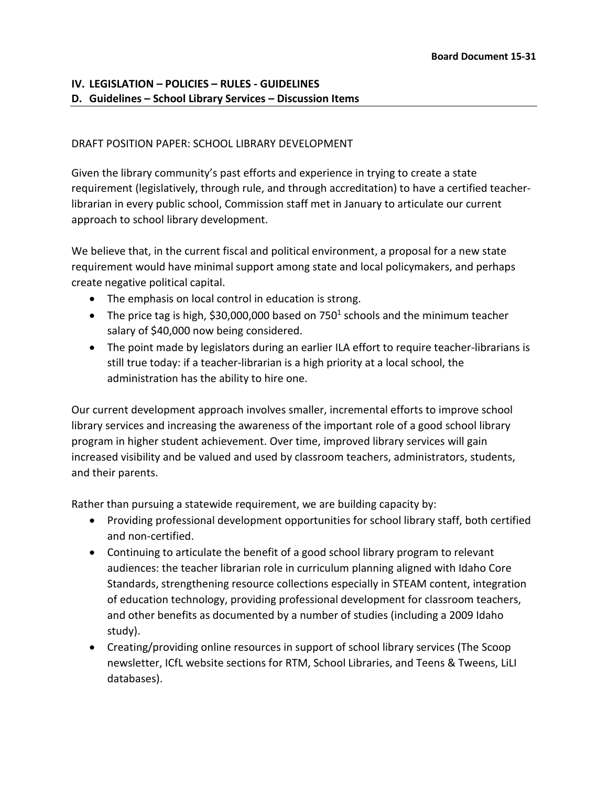## **IV. LEGISLATION – POLICIES – RULES - GUIDELINES D. Guidelines – School Library Services – Discussion Items**

#### DRAFT POSITION PAPER: SCHOOL LIBRARY DEVELOPMENT

Given the library community's past efforts and experience in trying to create a state requirement (legislatively, through rule, and through accreditation) to have a certified teacherlibrarian in every public school, Commission staff met in January to articulate our current approach to school library development.

We believe that, in the current fiscal and political environment, a proposal for a new state requirement would have minimal support among state and local policymakers, and perhaps create negative political capital.

- The emphasis on local control in education is strong.
- The price tag is high, \$30,000,000 based on 750<sup>1</sup> schools and the minimum teacher salary of \$40,000 now being considered.
- The point made by legislators during an earlier ILA effort to require teacher-librarians is still true today: if a teacher-librarian is a high priority at a local school, the administration has the ability to hire one.

Our current development approach involves smaller, incremental efforts to improve school library services and increasing the awareness of the important role of a good school library program in higher student achievement. Over time, improved library services will gain increased visibility and be valued and used by classroom teachers, administrators, students, and their parents.

Rather than pursuing a statewide requirement, we are building capacity by:

- Providing professional development opportunities for school library staff, both certified and non-certified.
- Continuing to articulate the benefit of a good school library program to relevant audiences: the teacher librarian role in curriculum planning aligned with Idaho Core Standards, strengthening resource collections especially in STEAM content, integration of education technology, providing professional development for classroom teachers, and other benefits as documented by a number of studies (including a 2009 Idaho study).
- Creating/providing online resources in support of school library services (The Scoop newsletter, ICfL website sections for RTM, School Libraries, and Teens & Tweens, LiLI databases).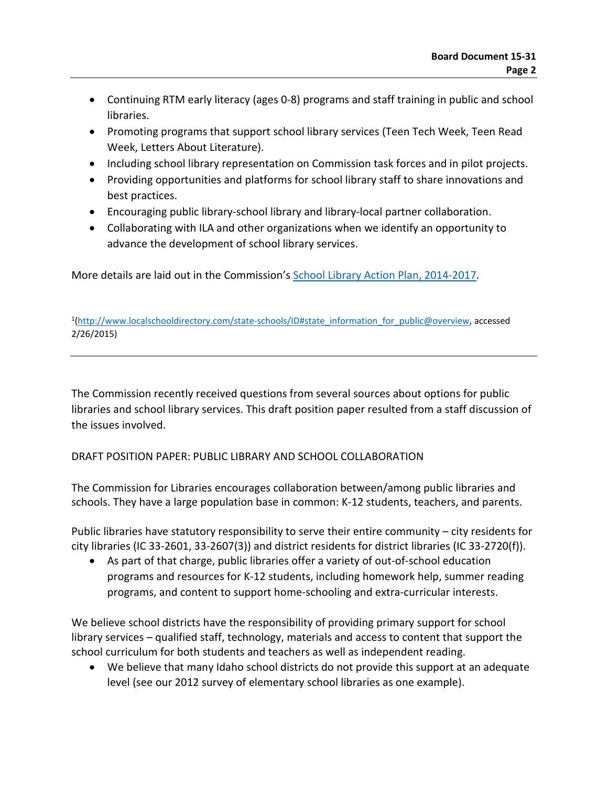- Continuing RTM early literacy (ages 0-8) programs and staff training in public and school libraries.
- Promoting programs that support school library services (Teen Tech Week, Teen Read Week, Letters About Literature).
- Including school library representation on Commission task forces and in pilot projects.
- Providing opportunities and platforms for school library staff to share innovations and best practices.
- Encouraging public library-school library and library-local partner collaboration.
- Collaborating with ILA and other organizations when we identify an opportunity to advance the development of school library services.

More details are laid out in the Commission's School Library Action Plan, 2014-2017.

<sup>1</sup>[\(http://www.localschooldirectory.com/state-schools/ID#state\\_information\\_for\\_public@overview,](http://www.localschooldirectory.com/state-schools/ID%23state_information_for_public@overview) accessed 2/26/2015)

The Commission recently received questions from several sources about options for public libraries and school library services. This draft position paper resulted from a staff discussion of the issues involved.

# DRAFT POSITION PAPER: PUBLIC LIBRARY AND SCHOOL COLLABORATION

The Commission for Libraries encourages collaboration between/among public libraries and schools. They have a large population base in common: K-12 students, teachers, and parents.

Public libraries have statutory responsibility to serve their entire community – city residents for city libraries (IC 33-2601, 33-2607(3)) and district residents for district libraries (IC 33-2720(f)).

• As part of that charge, public libraries offer a variety of out-of-school education programs and resources for K-12 students, including homework help, summer reading programs, and content to support home-schooling and extra-curricular interests.

We believe school districts have the responsibility of providing primary support for school library services – qualified staff, technology, materials and access to content that support the school curriculum for both students and teachers as well as independent reading.

• We believe that many Idaho school districts do not provide this support at an adequate level (see our 2012 survey of elementary school libraries as one example).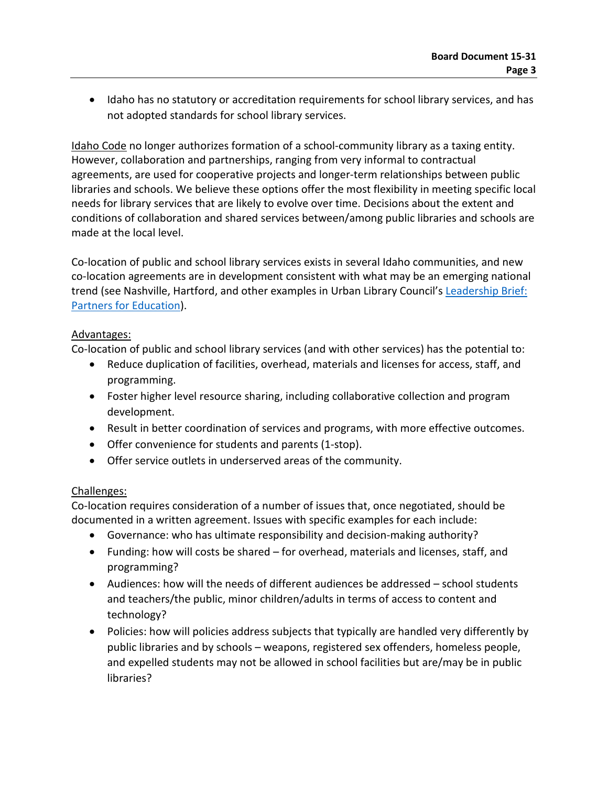• Idaho has no statutory or accreditation requirements for school library services, and has not adopted standards for school library services.

Idaho Code no longer authorizes formation of a school-community library as a taxing entity. However, collaboration and partnerships, ranging from very informal to contractual agreements, are used for cooperative projects and longer-term relationships between public libraries and schools. We believe these options offer the most flexibility in meeting specific local needs for library services that are likely to evolve over time. Decisions about the extent and conditions of collaboration and shared services between/among public libraries and schools are made at the local level.

Co-location of public and school library services exists in several Idaho communities, and new co-location agreements are in development consistent with what may be an emerging national trend (see Nashville, Hartford, and other examples in Urban Library Council's Leadership Brief: [Partners for Education\)](http://www.urbanlibraries.org/filebin/pdfs/ULCLeadership_Brief_PartnersForEducation_Jan2015.pdf).

## Advantages:

Co-location of public and school library services (and with other services) has the potential to:

- Reduce duplication of facilities, overhead, materials and licenses for access, staff, and programming.
- Foster higher level resource sharing, including collaborative collection and program development.
- Result in better coordination of services and programs, with more effective outcomes.
- Offer convenience for students and parents (1-stop).
- Offer service outlets in underserved areas of the community.

## Challenges:

Co-location requires consideration of a number of issues that, once negotiated, should be documented in a written agreement. Issues with specific examples for each include:

- Governance: who has ultimate responsibility and decision-making authority?
- Funding: how will costs be shared for overhead, materials and licenses, staff, and programming?
- Audiences: how will the needs of different audiences be addressed school students and teachers/the public, minor children/adults in terms of access to content and technology?
- Policies: how will policies address subjects that typically are handled very differently by public libraries and by schools – weapons, registered sex offenders, homeless people, and expelled students may not be allowed in school facilities but are/may be in public libraries?